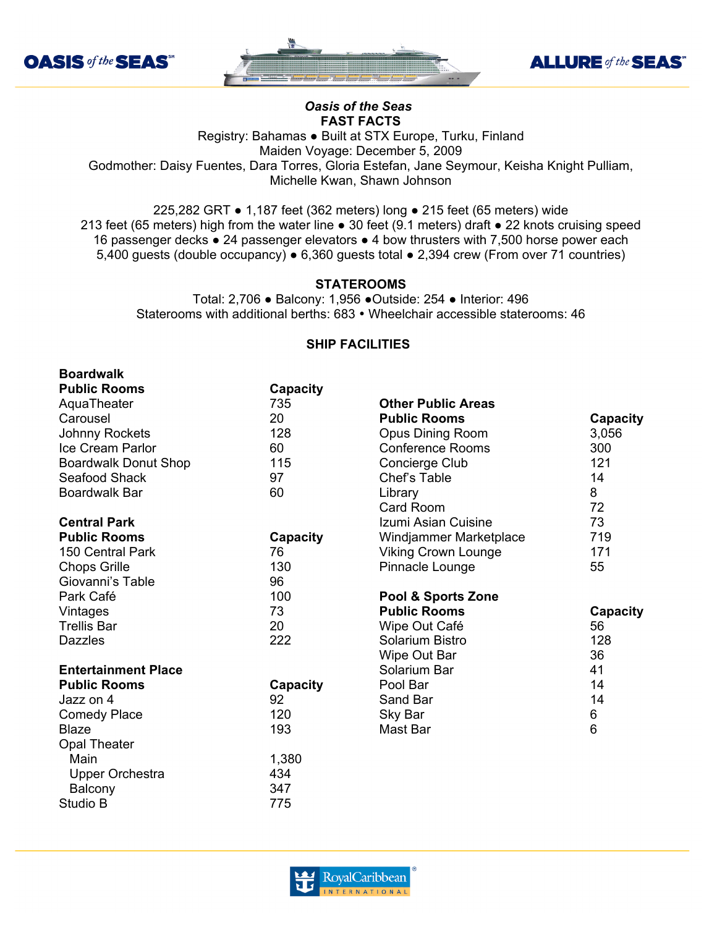

**Boardwalk**





## *Oasis of the Seas* **FAST FACTS**

Registry: Bahamas ● Built at STX Europe, Turku, Finland Maiden Voyage: December 5, 2009 Godmother: Daisy Fuentes, Dara Torres, Gloria Estefan, Jane Seymour, Keisha Knight Pulliam, Michelle Kwan, Shawn Johnson

225,282 GRT ● 1,187 feet (362 meters) long ● 215 feet (65 meters) wide 213 feet (65 meters) high from the water line ● 30 feet (9.1 meters) draft ● 22 knots cruising speed 16 passenger decks ● 24 passenger elevators ● 4 bow thrusters with 7,500 horse power each 5,400 guests (double occupancy) ● 6,360 guests total ● 2,394 crew (From over 71 countries)

## **STATEROOMS**

Total: 2,706 ● Balcony: 1,956 ●Outside: 254 ● Interior: 496 Staterooms with additional berths: 683 • Wheelchair accessible staterooms: 46

## **SHIP FACILITIES**

| <b>Boardwalk</b>            |          |                            |                |
|-----------------------------|----------|----------------------------|----------------|
| <b>Public Rooms</b>         | Capacity |                            |                |
| AquaTheater                 | 735      | <b>Other Public Areas</b>  |                |
| Carousel                    | 20       | <b>Public Rooms</b>        | Capacity       |
| Johnny Rockets              | 128      | Opus Dining Room           | 3,056          |
| Ice Cream Parlor            | 60       | <b>Conference Rooms</b>    | 300            |
| <b>Boardwalk Donut Shop</b> | 115      | Concierge Club             | 121            |
| Seafood Shack               | 97       | Chef's Table               | 14             |
| <b>Boardwalk Bar</b>        | 60       | Library                    | 8              |
|                             |          | Card Room                  | 72             |
| <b>Central Park</b>         |          | Izumi Asian Cuisine        | 73             |
| <b>Public Rooms</b>         | Capacity | Windjammer Marketplace     | 719            |
| 150 Central Park            | 76       | <b>Viking Crown Lounge</b> | 171            |
| <b>Chops Grille</b>         | 130      | Pinnacle Lounge            | 55             |
| Giovanni's Table            | 96       |                            |                |
| Park Café                   | 100      | Pool & Sports Zone         |                |
| Vintages                    | 73       | <b>Public Rooms</b>        | Capacity       |
| <b>Trellis Bar</b>          | 20       | Wipe Out Café              | 56             |
| <b>Dazzles</b>              | 222      | Solarium Bistro            | 128            |
|                             |          | Wipe Out Bar               | 36             |
| <b>Entertainment Place</b>  |          | Solarium Bar               | 41             |
| <b>Public Rooms</b>         | Capacity | Pool Bar                   | 14             |
| Jazz on 4                   | 92       | Sand Bar                   | 14             |
| <b>Comedy Place</b>         | 120      | Sky Bar                    | 6              |
| <b>Blaze</b>                | 193      | Mast Bar                   | $6\phantom{1}$ |
| <b>Opal Theater</b>         |          |                            |                |
| Main                        | 1,380    |                            |                |
| <b>Upper Orchestra</b>      | 434      |                            |                |
| Balcony                     | 347      |                            |                |
| Studio B                    | 775      |                            |                |